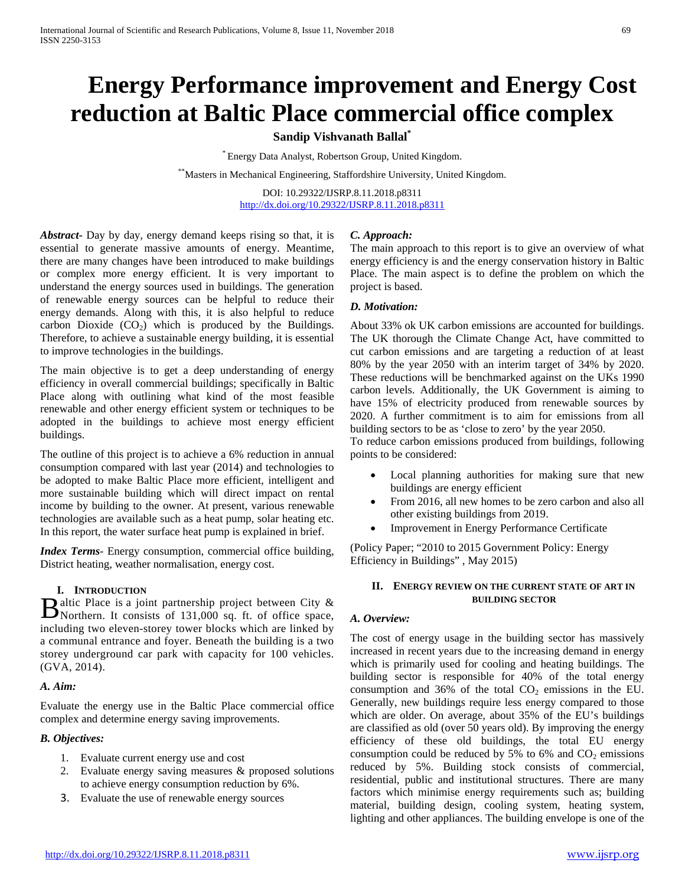# **Energy Performance improvement and Energy Cost reduction at Baltic Place commercial office complex**

# **Sandip Vishvanath Ballal\***

\* Energy Data Analyst, Robertson Group, United Kingdom.

\*\*Masters in Mechanical Engineering, Staffordshire University, United Kingdom.

DOI: 10.29322/IJSRP.8.11.2018.p8311 <http://dx.doi.org/10.29322/IJSRP.8.11.2018.p8311>

*Abstract***-** Day by day, energy demand keeps rising so that, it is essential to generate massive amounts of energy. Meantime, there are many changes have been introduced to make buildings or complex more energy efficient. It is very important to understand the energy sources used in buildings. The generation of renewable energy sources can be helpful to reduce their energy demands. Along with this, it is also helpful to reduce carbon Dioxide  $(CO_2)$  which is produced by the Buildings. Therefore, to achieve a sustainable energy building, it is essential to improve technologies in the buildings.

The main objective is to get a deep understanding of energy efficiency in overall commercial buildings; specifically in Baltic Place along with outlining what kind of the most feasible renewable and other energy efficient system or techniques to be adopted in the buildings to achieve most energy efficient buildings.

The outline of this project is to achieve a 6% reduction in annual consumption compared with last year (2014) and technologies to be adopted to make Baltic Place more efficient, intelligent and more sustainable building which will direct impact on rental income by building to the owner. At present, various renewable technologies are available such as a heat pump, solar heating etc. In this report, the water surface heat pump is explained in brief.

*Index Terms*- Energy consumption, commercial office building, District heating, weather normalisation, energy cost.

## **I. INTRODUCTION**

altic Place is a joint partnership project between City & Baltic Place is a joint partnership project between City & Northern. It consists of 131,000 sq. ft. of office space, including two eleven-storey tower blocks which are linked by a communal entrance and foyer. Beneath the building is a two storey underground car park with capacity for 100 vehicles. (GVA, 2014).

## *A. Aim:*

Evaluate the energy use in the Baltic Place commercial office complex and determine energy saving improvements.

# *B. Objectives:*

- 1. Evaluate current energy use and cost
- 2. Evaluate energy saving measures & proposed solutions to achieve energy consumption reduction by 6%.
- 3. Evaluate the use of renewable energy sources

# *C. Approach:*

The main approach to this report is to give an overview of what energy efficiency is and the energy conservation history in Baltic Place. The main aspect is to define the problem on which the project is based.

## *D. Motivation:*

About 33% ok UK carbon emissions are accounted for buildings. The UK thorough the Climate Change Act, have committed to cut carbon emissions and are targeting a reduction of at least 80% by the year 2050 with an interim target of 34% by 2020. These reductions will be benchmarked against on the UKs 1990 carbon levels. Additionally, the UK Government is aiming to have 15% of electricity produced from renewable sources by 2020. A further commitment is to aim for emissions from all building sectors to be as 'close to zero' by the year 2050.

To reduce carbon emissions produced from buildings, following points to be considered:

- Local planning authorities for making sure that new buildings are energy efficient
- From 2016, all new homes to be zero carbon and also all other existing buildings from 2019.
- Improvement in Energy Performance Certificate

(Policy Paper; "2010 to 2015 Government Policy: Energy Efficiency in Buildings" , May 2015)

## **II. ENERGY REVIEW ON THE CURRENT STATE OF ART IN BUILDING SECTOR**

## *A. Overview:*

The cost of energy usage in the building sector has massively increased in recent years due to the increasing demand in energy which is primarily used for cooling and heating buildings. The building sector is responsible for 40% of the total energy consumption and 36% of the total  $CO<sub>2</sub>$  emissions in the EU. Generally, new buildings require less energy compared to those which are older. On average, about 35% of the EU's buildings are classified as old (over 50 years old). By improving the energy efficiency of these old buildings, the total EU energy consumption could be reduced by 5% to 6% and  $CO<sub>2</sub>$  emissions reduced by 5%. Building stock consists of commercial, residential, public and institutional structures. There are many factors which minimise energy requirements such as; building material, building design, cooling system, heating system, lighting and other appliances. The building envelope is one of the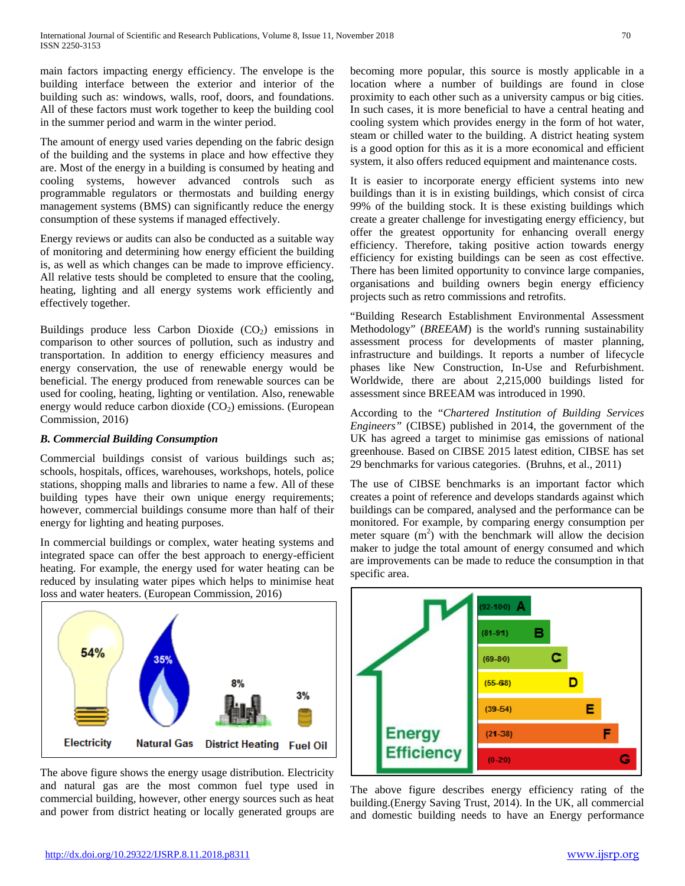main factors impacting energy efficiency. The envelope is the building interface between the exterior and interior of the building such as: windows, walls, roof, doors, and foundations. All of these factors must work together to keep the building cool in the summer period and warm in the winter period.

The amount of energy used varies depending on the fabric design of the building and the systems in place and how effective they are. Most of the energy in a building is consumed by heating and cooling systems, however advanced controls such as programmable regulators or thermostats and building energy management systems (BMS) can significantly reduce the energy consumption of these systems if managed effectively.

Energy reviews or audits can also be conducted as a suitable way of monitoring and determining how energy efficient the building is, as well as which changes can be made to improve efficiency. All relative tests should be completed to ensure that the cooling, heating, lighting and all energy systems work efficiently and effectively together.

Buildings produce less Carbon Dioxide  $(CO<sub>2</sub>)$  emissions in comparison to other sources of pollution, such as industry and transportation. In addition to energy efficiency measures and energy conservation, the use of renewable energy would be beneficial. The energy produced from renewable sources can be used for cooling, heating, lighting or ventilation. Also, renewable energy would reduce carbon dioxide  $(CO<sub>2</sub>)$  emissions. (European Commission, 2016)

## *B. Commercial Building Consumption*

Commercial buildings consist of various buildings such as; schools, hospitals, offices, warehouses, workshops, hotels, police stations, shopping malls and libraries to name a few. All of these building types have their own unique energy requirements; however, commercial buildings consume more than half of their energy for lighting and heating purposes.

In commercial buildings or complex, water heating systems and integrated space can offer the best approach to energy-efficient heating. For example, the energy used for water heating can be reduced by insulating water pipes which helps to minimise heat loss and water heaters. (European Commission, 2016)



The above figure shows the energy usage distribution. Electricity and natural gas are the most common fuel type used in commercial building, however, other energy sources such as heat and power from district heating or locally generated groups are becoming more popular, this source is mostly applicable in a location where a number of buildings are found in close proximity to each other such as a university campus or big cities. In such cases, it is more beneficial to have a central heating and cooling system which provides energy in the form of hot water, steam or chilled water to the building. A district heating system is a good option for this as it is a more economical and efficient system, it also offers reduced equipment and maintenance costs.

It is easier to incorporate energy efficient systems into new buildings than it is in existing buildings, which consist of circa 99% of the building stock. It is these existing buildings which create a greater challenge for investigating energy efficiency, but offer the greatest opportunity for enhancing overall energy efficiency. Therefore, taking positive action towards energy efficiency for existing buildings can be seen as cost effective. There has been limited opportunity to convince large companies, organisations and building owners begin energy efficiency projects such as retro commissions and retrofits.

"Building Research Establishment Environmental Assessment Methodology" (*BREEAM*) is the world's running sustainability assessment process for developments of master planning, infrastructure and buildings. It reports a number of lifecycle phases like New Construction, In-Use and Refurbishment. Worldwide, there are about 2,215,000 buildings listed for assessment since BREEAM was introduced in 1990.

According to the "*Chartered Institution of Building Services Engineers"* (CIBSE) published in 2014, the government of the UK has agreed a target to minimise gas emissions of national greenhouse. Based on CIBSE 2015 latest edition, CIBSE has set 29 benchmarks for various categories. (Bruhns, et al., 2011)

The use of CIBSE benchmarks is an important factor which creates a point of reference and develops standards against which buildings can be compared, analysed and the performance can be monitored. For example, by comparing energy consumption per meter square  $(m<sup>2</sup>)$  with the benchmark will allow the decision maker to judge the total amount of energy consumed and which are improvements can be made to reduce the consumption in that specific area.



The above figure describes energy efficiency rating of the building.(Energy Saving Trust, 2014). In the UK, all commercial and domestic building needs to have an Energy performance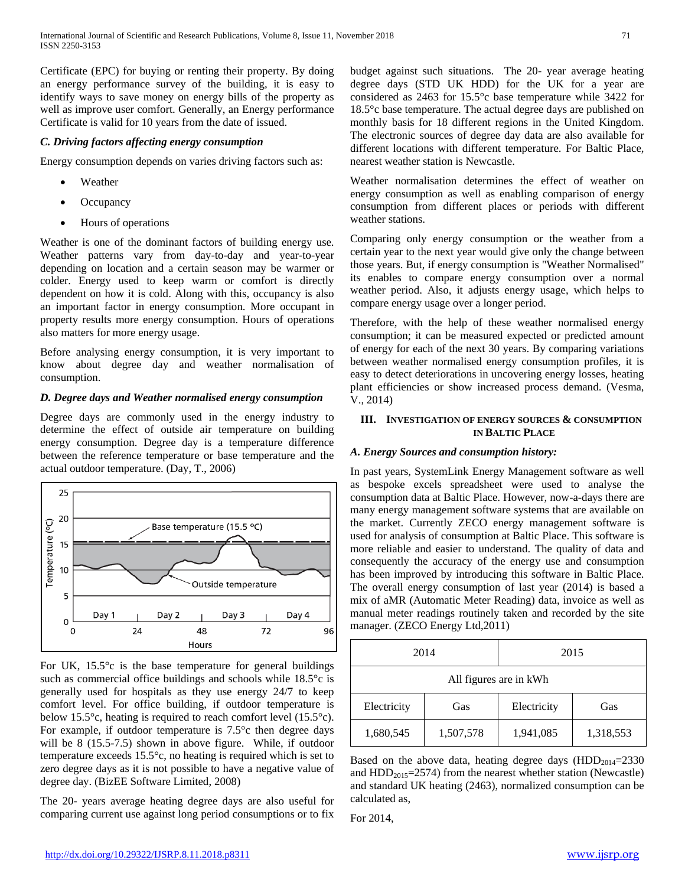Certificate (EPC) for buying or renting their property. By doing an energy performance survey of the building, it is easy to identify ways to save money on energy bills of the property as well as improve user comfort. Generally, an Energy performance Certificate is valid for 10 years from the date of issued.

# *C. Driving factors affecting energy consumption*

Energy consumption depends on varies driving factors such as:

- **Weather**
- **Occupancy**
- Hours of operations

Weather is one of the dominant factors of building energy use. Weather patterns vary from day-to-day and year-to-year depending on location and a certain season may be warmer or colder. Energy used to keep warm or comfort is directly dependent on how it is cold. Along with this, occupancy is also an important factor in energy consumption. More occupant in property results more energy consumption. Hours of operations also matters for more energy usage.

Before analysing energy consumption, it is very important to know about degree day and weather normalisation of consumption.

# *D. Degree days and Weather normalised energy consumption*

Degree days are commonly used in the energy industry to determine the effect of outside air temperature on building energy consumption. Degree day is a temperature difference between the reference temperature or base temperature and the actual outdoor temperature. (Day, T., 2006)



For UK,  $15.5^{\circ}$ c is the base temperature for general buildings such as commercial office buildings and schools while 18.5<sup>o</sup>c is generally used for hospitals as they use energy 24/7 to keep comfort level. For office building, if outdoor temperature is below 15.5°c, heating is required to reach comfort level (15.5°c). For example, if outdoor temperature is 7.5°c then degree days will be 8 (15.5-7.5) shown in above figure. While, if outdoor temperature exceeds 15.5°c, no heating is required which is set to zero degree days as it is not possible to have a negative value of degree day. (BizEE Software Limited, 2008)

The 20- years average heating degree days are also useful for comparing current use against long period consumptions or to fix

budget against such situations. The 20- year average heating degree days (STD UK HDD) for the UK for a year are considered as 2463 for 15.5°c base temperature while 3422 for 18.5°c base temperature. The actual degree days are published on monthly basis for 18 different regions in the United Kingdom. The electronic sources of degree day data are also available for different locations with different temperature. For Baltic Place, nearest weather station is Newcastle.

Weather normalisation determines the effect of weather on energy consumption as well as enabling comparison of energy consumption from different places or periods with different weather stations.

Comparing only energy consumption or the weather from a certain year to the next year would give only the change between those years. But, if energy consumption is "Weather Normalised" its enables to compare energy consumption over a normal weather period. Also, it adjusts energy usage, which helps to compare energy usage over a longer period.

Therefore, with the help of these weather normalised energy consumption; it can be measured expected or predicted amount of energy for each of the next 30 years. By comparing variations between weather normalised energy consumption profiles, it is easy to detect deteriorations in uncovering energy losses, heating plant efficiencies or show increased process demand. (Vesma, V., 2014)

# **III. INVESTIGATION OF ENERGY SOURCES & CONSUMPTION IN BALTIC PLACE**

# *A. Energy Sources and consumption history:*

In past years, SystemLink Energy Management software as well as bespoke excels spreadsheet were used to analyse the consumption data at Baltic Place. However, now-a-days there are many energy management software systems that are available on the market. Currently ZECO energy management software is used for analysis of consumption at Baltic Place. This software is more reliable and easier to understand. The quality of data and consequently the accuracy of the energy use and consumption has been improved by introducing this software in Baltic Place. The overall energy consumption of last year (2014) is based a mix of aMR (Automatic Meter Reading) data, invoice as well as manual meter readings routinely taken and recorded by the site manager. (ZECO Energy Ltd,2011)

| 2014                   |           | 2015        |           |  |
|------------------------|-----------|-------------|-----------|--|
| All figures are in kWh |           |             |           |  |
| Electricity            | Gas       | Electricity | Gas       |  |
| 1,680,545              | 1,507,578 | 1,941,085   | 1,318,553 |  |

Based on the above data, heating degree days  $(HDD_{2014}=2330)$ and  $HDD_{2015}=2574$ ) from the nearest whether station (Newcastle) and standard UK heating (2463), normalized consumption can be calculated as,

For 2014,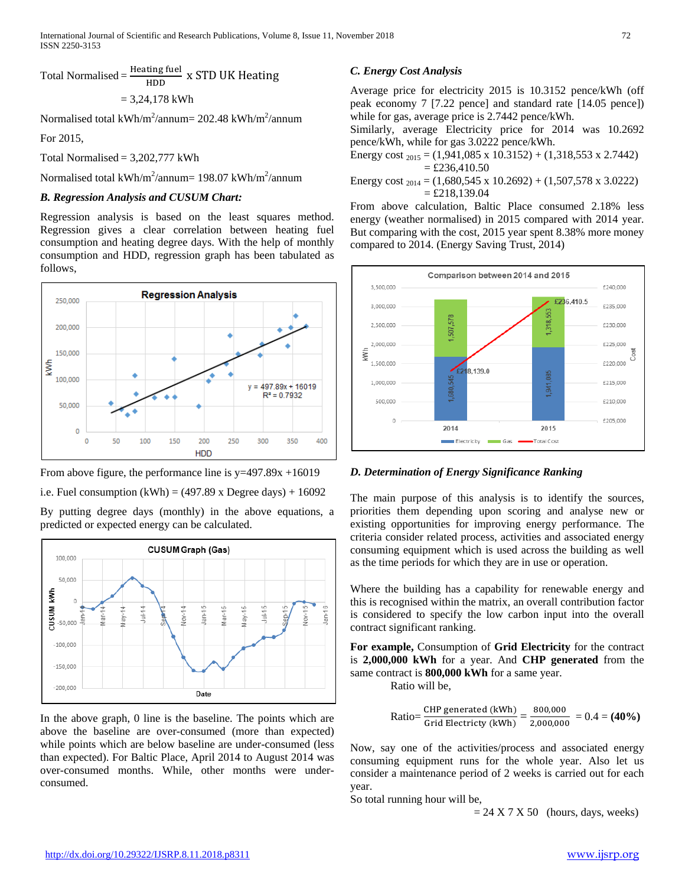Total Normalised = 
$$
\frac{\text{Heating fuel}}{\text{HDD}} \times \text{STD UK Heating}
$$

$$
= 3,24,178
$$
 kWh

Normalised total kWh/m<sup>2</sup>/annum= 202.48 kWh/m<sup>2</sup>/annum

For 2015,

Total Normalised =  $3,202,777$  kWh

Normalised total kWh/m<sup>2</sup>/annum= 198.07 kWh/m<sup>2</sup>/annum

# *B. Regression Analysis and CUSUM Chart:*

Regression analysis is based on the least squares method. Regression gives a clear correlation between heating fuel consumption and heating degree days. With the help of monthly consumption and HDD, regression graph has been tabulated as follows,





predicted or expected energy can be calculated.

**CUSUM Graph (Gas)** 100,000 50.000 ₹  $\frac{6}{5}$ **NUSUL** Ģ an-16 i<br>a È 50,000  $-100,000$  $-150,000$  $-200.000$ Date

In the above graph, 0 line is the baseline. The points which are above the baseline are over-consumed (more than expected) while points which are below baseline are under-consumed (less than expected). For Baltic Place, April 2014 to August 2014 was over-consumed months. While, other months were underconsumed.

# *C. Energy Cost Analysis*

Average price for electricity 2015 is 10.3152 pence/kWh (off peak economy 7 [7.22 pence] and standard rate [14.05 pence]) while for gas, average price is 2.7442 pence/kWh.

Similarly, average Electricity price for 2014 was 10.2692 pence/kWh, while for gas 3.0222 pence/kWh.

Energy cost  $_{2015}$  = (1,941,085 x 10.3152) + (1,318,553 x 2.7442)  $=$  £236,410.50

Energy cost  $_{2014}$  = (1,680,545 x 10.2692) + (1,507,578 x 3.0222)  $=$  £218,139.04

From above calculation, Baltic Place consumed 2.18% less energy (weather normalised) in 2015 compared with 2014 year. But comparing with the cost, 2015 year spent 8.38% more money compared to 2014. (Energy Saving Trust, 2014)



# *D. Determination of Energy Significance Ranking*

The main purpose of this analysis is to identify the sources, priorities them depending upon scoring and analyse new or existing opportunities for improving energy performance. The criteria consider related process, activities and associated energy consuming equipment which is used across the building as well as the time periods for which they are in use or operation.

Where the building has a capability for renewable energy and this is recognised within the matrix, an overall contribution factor is considered to specify the low carbon input into the overall contract significant ranking.

**For example,** Consumption of **Grid Electricity** for the contract is **2,000,000 kWh** for a year. And **CHP generated** from the same contract is **800,000 kWh** for a same year.

Ratio will be,

Ratio=
$$
\frac{\text{CHP generated (kWh)}}{\text{Grid Electricty (kWh)}} = \frac{800,000}{2,000,000} = 0.4 = (40\%)
$$

Now, say one of the activities/process and associated energy consuming equipment runs for the whole year. Also let us consider a maintenance period of 2 weeks is carried out for each year.

So total running hour will be,

 $= 24 X 7 X 50$  (hours, days, weeks)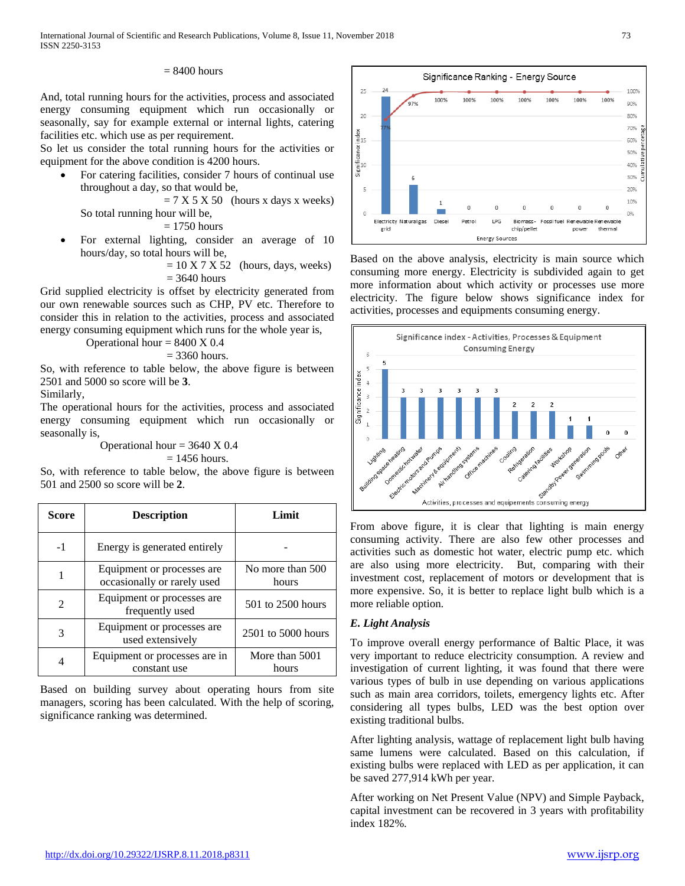## $= 8400$  hours

And, total running hours for the activities, process and associated energy consuming equipment which run occasionally or seasonally, say for example external or internal lights, catering facilities etc. which use as per requirement.

So let us consider the total running hours for the activities or equipment for the above condition is 4200 hours.

• For catering facilities, consider 7 hours of continual use throughout a day, so that would be,

 $= 7 X 5 X 50$  (hours x days x weeks) So total running hour will be,

 $= 1750$  hours

- For external lighting, consider an average of 10 hours/day, so total hours will be,
	- $= 10 X 7 X 52$  (hours, days, weeks)  $= 3640$  hours

Grid supplied electricity is offset by electricity generated from our own renewable sources such as CHP, PV etc. Therefore to consider this in relation to the activities, process and associated energy consuming equipment which runs for the whole year is,

Operational hour  $= 8400 \text{ X } 0.4$ 

 $= 3360$  hours.

So, with reference to table below, the above figure is between 2501 and 5000 so score will be **3**.

Similarly,

The operational hours for the activities, process and associated energy consuming equipment which run occasionally or seasonally is,

> Operational hour  $= 3640 \text{ X } 0.4$  $= 1456$  hours.

So, with reference to table below, the above figure is between 501 and 2500 so score will be **2**.

| Score          | <b>Description</b>                                         | Limit                     |
|----------------|------------------------------------------------------------|---------------------------|
| $-1$           | Energy is generated entirely                               |                           |
|                | Equipment or processes are.<br>occasionally or rarely used | No more than 500<br>hours |
| $\mathfrak{D}$ | Equipment or processes are<br>frequently used              | 501 to 2500 hours         |
| 3              | Equipment or processes are.<br>used extensively            | 2501 to 5000 hours        |
|                | Equipment or processes are in<br>constant use              | More than 5001<br>hours   |

Based on building survey about operating hours from site managers, scoring has been calculated. With the help of scoring, significance ranking was determined.



Based on the above analysis, electricity is main source which consuming more energy. Electricity is subdivided again to get more information about which activity or processes use more electricity. The figure below shows significance index for activities, processes and equipments consuming energy.



From above figure, it is clear that lighting is main energy consuming activity. There are also few other processes and activities such as domestic hot water, electric pump etc. which are also using more electricity. But, comparing with their investment cost, replacement of motors or development that is more expensive. So, it is better to replace light bulb which is a more reliable option.

## *E. Light Analysis*

To improve overall energy performance of Baltic Place, it was very important to reduce electricity consumption. A review and investigation of current lighting, it was found that there were various types of bulb in use depending on various applications such as main area corridors, toilets, emergency lights etc. After considering all types bulbs, LED was the best option over existing traditional bulbs.

After lighting analysis, wattage of replacement light bulb having same lumens were calculated. Based on this calculation, if existing bulbs were replaced with LED as per application, it can be saved 277,914 kWh per year.

After working on Net Present Value (NPV) and Simple Payback, capital investment can be recovered in 3 years with profitability index 182%.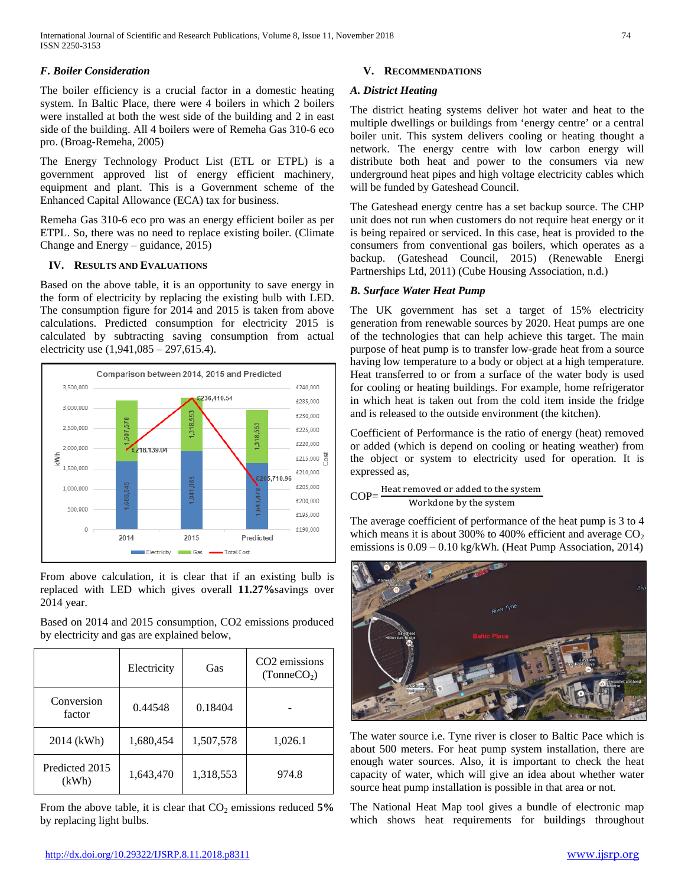# *F. Boiler Consideration*

The boiler efficiency is a crucial factor in a domestic heating system. In Baltic Place, there were 4 boilers in which 2 boilers were installed at both the west side of the building and 2 in east side of the building. All 4 boilers were of Remeha Gas 310-6 eco pro. (Broag-Remeha, 2005)

The Energy Technology Product List (ETL or ETPL) is a government approved list of energy efficient machinery, equipment and plant. This is a Government scheme of the Enhanced Capital Allowance (ECA) tax for business.

Remeha Gas 310-6 eco pro was an energy efficient boiler as per ETPL. So, there was no need to replace existing boiler. (Climate Change and Energy – guidance, 2015)

# **IV. RESULTS AND EVALUATIONS**

Based on the above table, it is an opportunity to save energy in the form of electricity by replacing the existing bulb with LED. The consumption figure for 2014 and 2015 is taken from above calculations. Predicted consumption for electricity 2015 is calculated by subtracting saving consumption from actual electricity use (1,941,085 – 297,615.4).



From above calculation, it is clear that if an existing bulb is replaced with LED which gives overall **11.27%**savings over 2014 year.

Based on 2014 and 2015 consumption, CO2 emissions produced by electricity and gas are explained below,

|                         | Electricity | Gas       | CO <sub>2</sub> emissions<br>(TonneCO <sub>2</sub> ) |
|-------------------------|-------------|-----------|------------------------------------------------------|
| Conversion<br>factor    | 0.44548     | 0.18404   |                                                      |
| 2014 (kWh)              | 1,680,454   | 1,507,578 | 1,026.1                                              |
| Predicted 2015<br>(kWh) | 1,643,470   | 1,318,553 | 974.8                                                |

From the above table, it is clear that  $CO<sub>2</sub>$  emissions reduced  $5\%$ by replacing light bulbs.

# **V. RECOMMENDATIONS**

# *A. District Heating*

The district heating systems deliver hot water and heat to the multiple dwellings or buildings from 'energy centre' or a central boiler unit. This system delivers cooling or heating thought a network. The energy centre with low carbon energy will distribute both heat and power to the consumers via new underground heat pipes and high voltage electricity cables which will be funded by Gateshead Council.

The Gateshead energy centre has a set backup source. The CHP unit does not run when customers do not require heat energy or it is being repaired or serviced. In this case, heat is provided to the consumers from conventional gas boilers, which operates as a backup. (Gateshead Council, 2015) (Renewable Energi Partnerships Ltd, 2011) (Cube Housing Association, n.d.)

# *B. Surface Water Heat Pump*

The UK government has set a target of 15% electricity generation from renewable sources by 2020. Heat pumps are one of the technologies that can help achieve this target. The main purpose of heat pump is to transfer low-grade heat from a source having low temperature to a body or object at a high temperature. Heat transferred to or from a surface of the water body is used for cooling or heating buildings. For example, home refrigerator in which heat is taken out from the cold item inside the fridge and is released to the outside environment (the kitchen).

Coefficient of Performance is the ratio of energy (heat) removed or added (which is depend on cooling or heating weather) from the object or system to electricity used for operation. It is expressed as,

 $COP = \frac{\text{Heat removed or added to the system}}{\text{COP}}$ Workdone by the system

The average coefficient of performance of the heat pump is 3 to 4 which means it is about 300% to 400% efficient and average  $CO<sub>2</sub>$ emissions is 0.09 – 0.10 kg/kWh. (Heat Pump Association, 2014)



The water source i.e. Tyne river is closer to Baltic Pace which is about 500 meters. For heat pump system installation, there are enough water sources. Also, it is important to check the heat capacity of water, which will give an idea about whether water source heat pump installation is possible in that area or not.

The National Heat Map tool gives a bundle of electronic map which shows heat requirements for buildings throughout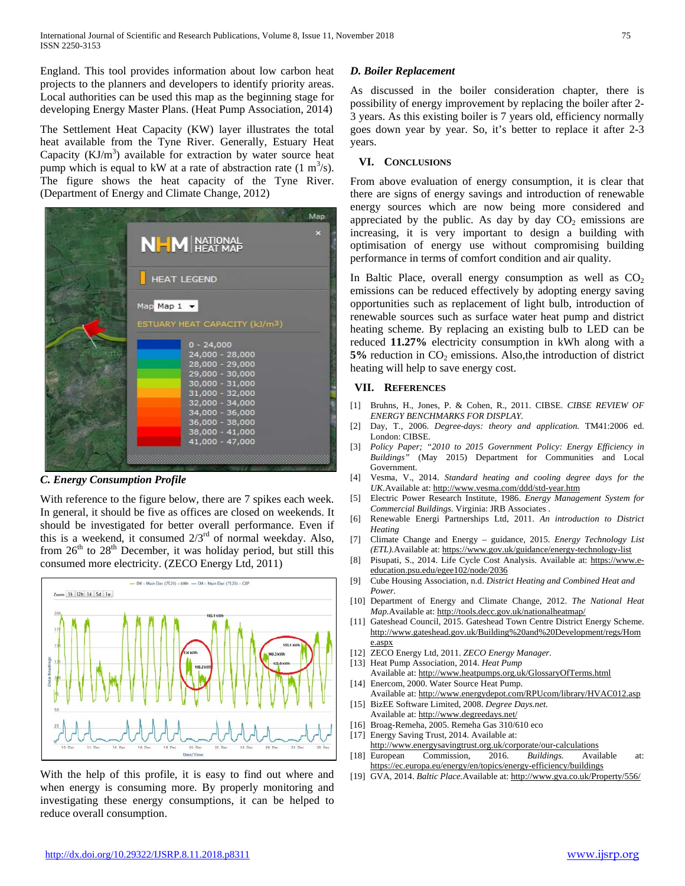England. This tool provides information about low carbon heat projects to the planners and developers to identify priority areas. Local authorities can be used this map as the beginning stage for developing Energy Master Plans. (Heat Pump Association, 2014)

The Settlement Heat Capacity (KW) layer illustrates the total heat available from the Tyne River. Generally, Estuary Heat Capacity  $(KJ/m<sup>3</sup>)$  available for extraction by water source heat pump which is equal to kW at a rate of abstraction rate  $(1 \text{ m}^3/\text{s})$ . The figure shows the heat capacity of the Tyne River. (Department of Energy and Climate Change, 2012)

|                                                       | Map |
|-------------------------------------------------------|-----|
| <b>NHM</b> NATIONAL                                   | P.  |
| <b>HEAT LEGEND</b>                                    |     |
| Map Map 1 -                                           |     |
| ESTUARY HEAT CAPACITY (kJ/m3)<br>$0 - 24,000$         |     |
| 24,000 - 28,000<br>28,000 - 29,000                    |     |
| 29,000 - 30,000<br>30,000 - 31,000<br>31,000 - 32,000 |     |
| 32,000 - 34,000<br>34,000 - 36,000                    |     |
| 36,000 - 38,000<br>38,000 - 41,000<br>41,000 - 47,000 |     |
|                                                       |     |

## *C. Energy Consumption Profile*

With reference to the figure below, there are 7 spikes each week. In general, it should be five as offices are closed on weekends. It should be investigated for better overall performance. Even if this is a weekend, it consumed  $2/3<sup>rd</sup>$  of normal weekday. Also, from  $26<sup>th</sup>$  to  $28<sup>th</sup>$  December, it was holiday period, but still this consumed more electricity. (ZECO Energy Ltd, 2011)



With the help of this profile, it is easy to find out where and when energy is consuming more. By properly monitoring and investigating these energy consumptions, it can be helped to reduce overall consumption.

## *D. Boiler Replacement*

As discussed in the boiler consideration chapter, there is possibility of energy improvement by replacing the boiler after 2- 3 years. As this existing boiler is 7 years old, efficiency normally goes down year by year. So, it's better to replace it after 2-3 years.

## **VI. CONCLUSIONS**

From above evaluation of energy consumption, it is clear that there are signs of energy savings and introduction of renewable energy sources which are now being more considered and appreciated by the public. As day by day  $CO<sub>2</sub>$  emissions are increasing, it is very important to design a building with optimisation of energy use without compromising building performance in terms of comfort condition and air quality.

In Baltic Place, overall energy consumption as well as  $CO<sub>2</sub>$ emissions can be reduced effectively by adopting energy saving opportunities such as replacement of light bulb, introduction of renewable sources such as surface water heat pump and district heating scheme. By replacing an existing bulb to LED can be reduced **11.27%** electricity consumption in kWh along with a **5%** reduction in CO<sub>2</sub> emissions. Also, the introduction of district heating will help to save energy cost.

## **VII. REFERENCES**

- [1] Bruhns, H., Jones, P. & Cohen, R., 2011. CIBSE. *CIBSE REVIEW OF ENERGY BENCHMARKS FOR DISPLAY.*
- [2] Day, T., 2006. *Degree-days: theory and application.* TM41:2006 ed. London: CIBSE.
- [3] *Policy Paper; "2010 to 2015 Government Policy: Energy Efficiency in Buildings"* (May 2015) Department for Communities and Local Government.
- [4] Vesma, V., 2014. *Standard heating and cooling degree days for the UK.*Available at: http://www.vesma.com/ddd/std-year.htm
- [5] Electric Power Research Institute, 1986. *Energy Management System for Commercial Buildings.* Virginia: JRB Associates .
- [6] Renewable Energi Partnerships Ltd, 2011. *An introduction to District Heating*
- [7] Climate Change and Energy guidance, 2015. *Energy Technology List (ETL).*Available at: https://www.gov.uk/guidance/energy-technology-list
- [8] Pisupati, S., 2014. Life Cycle Cost Analysis. Available at: https://www.eeducation.psu.edu/egee102/node/2036
- [9] Cube Housing Association, n.d. *District Heating and Combined Heat and Power.*
- [10] Department of Energy and Climate Change, 2012. *The National Heat Map.*Available at: http://tools.decc.gov.uk/nationalheatmap/
- [11] Gateshead Council, 2015. Gateshead Town Centre District Energy Scheme. http://www.gateshead.gov.uk/Building%20and%20Development/regs/Hom e.aspx
- [12] ZECO Energy Ltd, 2011. *ZECO Energy Manager.*
- [13] Heat Pump Association, 2014. *Heat Pump* Available at: http://www.heatpumps.org.uk/GlossaryOfTerms.html
- [14] Enercom, 2000. Water Source Heat Pump. Available at: http://www.energydepot.com/RPUcom/library/HVAC012.asp
- [15] BizEE Software Limited, 2008. *Degree Days.net.* Available at: http://www.degreedays.net/
- [16] Broag-Remeha, 2005. Remeha Gas 310/610 eco
- [17] Energy Saving Trust, 2014. Available at:
- http://www.energysavingtrust.org.uk/corporate/our-calculations [18] European Commission, 2016. *Buildings.* Available at:
- https://ec.europa.eu/energy/en/topics/energy-efficiency/buildings [19] GVA, 2014. *Baltic Place.*Available at: http://www.gva.co.uk/Property/556/